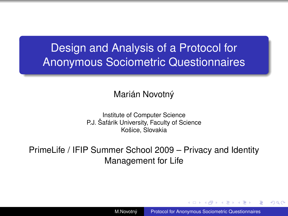# Design and Analysis of a Protocol for Anonymous Sociometric Questionnaires

#### Marián Novotný

Institute of Computer Science P.J. Šafárik University, Faculty of Science Košice, Slovakia

PrimeLife / IFIP Summer School 2009 – Privacy and Identity Management for Life

M.Novotný [Protocol for Anonymous Sociometric Questionnaires](#page-18-0)

<span id="page-0-0"></span>イロメ イ何 メイヨメ イヨメ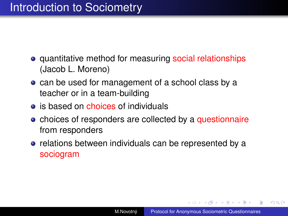# Introduction to Sociometry

- **•** quantitative method for measuring social relationships (Jacob L. Moreno)
- can be used for management of a school class by a teacher or in a team-building
- $\bullet$  is based on choices of individuals
- choices of responders are collected by a questionnaire from responders
- relations between individuals can be represented by a sociogram

K ロ ⊁ K 何 ≯ K ヨ ⊁ K ヨ ⊁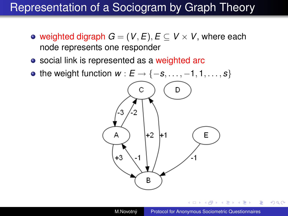## Representation of a Sociogram by Graph Theory

- weighted digraph  $G = (V, E), E \subseteq V \times V$ , where each node represents one responder
- social link is represented as a weighted arc
- the weight function  $w : E \rightarrow \{-s, \ldots, -1, 1, \ldots, s\}$

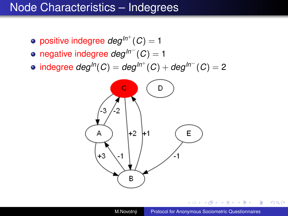#### Node Characteristics – Indegrees

- $\mathsf{positive}\ \mathsf{indegree}\ deg^{ln^+}(C) = 1$
- negative indegree *degIn*<sup>−</sup> (*C*) = 1
- $\mathsf{indegree~deg}^{ln}(C) = \mathsf{deg}^{ln^+}(C) + \mathsf{deg}^{ln^-}(C) = 2$



E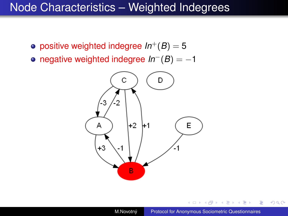#### Node Characteristics – Weighted Indegrees

- positive weighted indegree  $In^{+}(B) = 5$
- negative weighted indegree *In*−(*B*) = −1



4 0 8

 $299$ 

B

(する)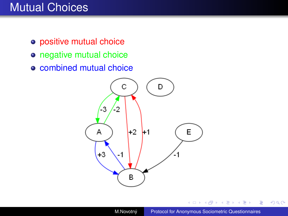## Mutual Choices

- positive mutual choice
- o negative mutual choice
- combined mutual choice



4 0 8

 $\equiv$ 

重き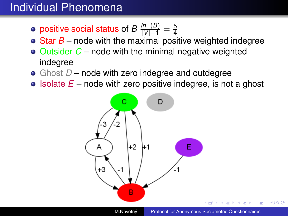## Individual Phenomena

- positive social status of  $B\,\frac{\mathit{In}^+(B)}{|V|-1}=\frac{5}{4}$ 4
- Star *B* node with the maximal positive weighted indegree
- Outsider *C* node with the minimal negative weighted indegree
- Ghost *D* node with zero indegree and outdegree
- $\bullet$  Isolate  $E$  node with zero positive indegree, is not a ghost

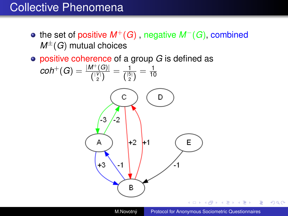#### Collective Phenomena

- the set of positive *M*+(*G*) , negative *M*−(*G*), combined  $M^{\pm}(G)$  mutual choices
- positive coherence of a group *G* is defined as

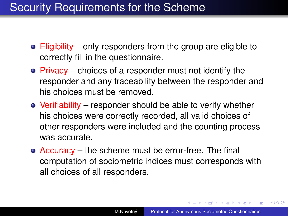## Security Requirements for the Scheme

- Eligibility only responders from the group are eligible to correctly fill in the questionnaire.
- Privacy choices of a responder must not identify the responder and any traceability between the responder and his choices must be removed.
- Verifiability responder should be able to verify whether his choices were correctly recorded, all valid choices of other responders were included and the counting process was accurate.
- Accuracy the scheme must be error-free. The final computation of sociometric indices must corresponds with all choices of all responders.

イロト イ押 トイヨ トイヨ トー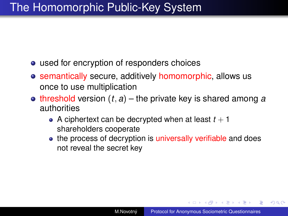# The Homomorphic Public-Key System

- used for encryption of responders choices
- semantically secure, additively homomorphic, allows us once to use multiplication
- $\bullet$  threshold version  $(t, a)$  the private key is shared among *a* authorities
	- A ciphertext can be decrypted when at least  $t + 1$ shareholders cooperate
	- the process of decryption is universally verifiable and does not reveal the secret key

4 ロ ) (何 ) (日 ) (日 )

画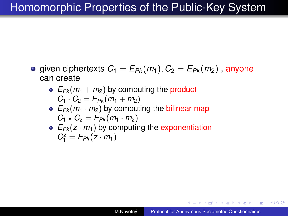# Homomorphic Properties of the Public-Key System

- given ciphertexts  $C_1 = E_{Pk}(m_1), C_2 = E_{Pk}(m_2)$ , anyone can create
	- $E_{Pk}(m_1 + m_2)$  by computing the product  $C_1 \cdot C_2 = E_{Pk}(m_1 + m_2)$
	- $E_{Pk}(m_1 \cdot m_2)$  by computing the bilinear map  $C_1 \star C_2 = E_{Pk}(m_1 \cdot m_2)$
	- $E_{Pk}(z \cdot m_1)$  by computing the exponentiation  $C_1^z = E_{Pk}(z \cdot m_1)$

◆ ロ ▶ → 伊 ▶ → ヨ ▶ → ヨ ▶ → ヨ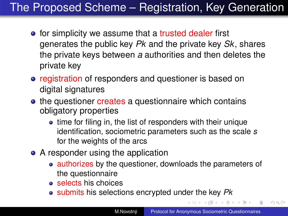# The Proposed Scheme – Registration, Key Generation

- for simplicity we assume that a trusted dealer first generates the public key *Pk* and the private key *Sk*, shares the private keys between *a* authorities and then deletes the private key
- registration of responders and questioner is based on digital signatures
- the questioner creates a questionnaire which contains obligatory properties
	- time for filing in, the list of responders with their unique identification, sociometric parameters such as the scale *s* for the weights of the arcs
- A responder using the application
	- authorizes by the questioner, downloads the parameters of the questionnaire
	- **e** selects his choices
	- submits his selections encrypted under the key *Pk*

④個 トメ ヨ ト メ ヨ ト ニ ヨー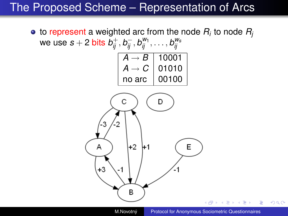## The Proposed Scheme – Representation of Arcs



M.Novotný [Protocol for Anonymous Sociometric Questionnaires](#page-0-0)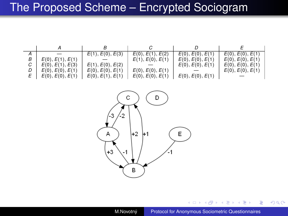## The Proposed Scheme – Encrypted Sociogram

|   |                  | E(1), E(0), E(3) | E(0), E(1), E(2) | E(0), E(0), E(1) | E(0), E(0), E(1) |
|---|------------------|------------------|------------------|------------------|------------------|
| В | E(0), E(1), E(1) |                  | E(1), E(0), E(1) | E(0), E(0), E(1) | E(0), E(0), E(1) |
| C | E(0), E(1), E(3) | E(1), E(0), E(2) |                  | E(0), E(0), E(1) | E(0), E(0), E(1) |
|   | E(0), E(0), E(1) | E(0), E(0), E(1) | E(0), E(0), E(1) |                  | E(0), E(0), E(1) |
|   | E(0), E(0), E(1) | E(0), E(1), E(1) | E(0), E(0), E(1) | E(0), E(0), E(1) |                  |



4 0 8

∢ এ

× Ξ  $\rightarrow$ 

 $\mathbf{p}$ 

 $\equiv$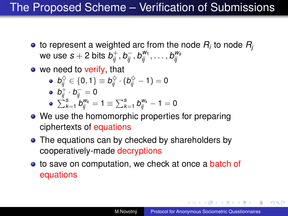# The Proposed Scheme – Verification of Submissions

- to represent a weighted arc from the node *R<sup>i</sup>* to node *R<sup>j</sup>* we use  $s+2$  bits  $b^+_{ij}, b^-_{ij}, b'''_{ij}, \ldots, b'''_{ij}$
- $\bullet$  we need to verify, that
	- $b_{ij}^\diamondsuit \in \{0,1\} \equiv b_{ij}^\diamondsuit \cdot (b_{ij}^\diamondsuit-1) = 0$  $b^+_{ij}\cdot b^-_{ij} = 0$
	- $\sum_{k=1}^{s} b_{ij}^{w_k} = 1 \equiv \sum_{k=1}^{s} b_{ij}^{w_k} 1 = 0$
- We use the homomorphic properties for preparing ciphertexts of equations
- The equations can by checked by shareholders by cooperatively-made decryptions
- to save on computation, we check at once a batch of equations

イロト イ押 トイヨ トイヨ トー

 $QQ$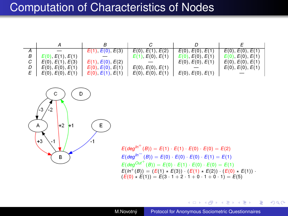#### Computation of Characteristics of Nodes

|                  | E(1), E(0), E(3) | E(0), E(1), E(2) | E(0), E(0), E(1) | E(0), E(0), E(1) |
|------------------|------------------|------------------|------------------|------------------|
| E(0), E(1), E(1) |                  | E(1), E(0), E(1) | E(0), E(0), E(1) | E(0), E(0), E(1) |
| E(0), E(1), E(3) | E(1), E(0), E(2) |                  | E(0), E(0), E(1) | E(0), E(0), E(1) |
| E(0), E(0), E(1) | E(0), E(0), E(1) | E(0), E(0), E(1) |                  | E(0), E(0), E(1) |
| E(0), E(0), E(1) | E(0), E(1), E(1) | E(0), E(0), E(1) | E(0), E(0), E(1) |                  |



 $E(\text{deg}^{ln^{+}}(B)) = E(1) \cdot E(1) \cdot E(0) \cdot E(0) = E(2)$  $E(\text{deg}^{\text{ln}^{-1}}(B)) = E(0) \cdot E(0) \cdot E(0) \cdot E(1) = E(1)$  $E(deg^{Out^+}(B)) = E(0) \cdot E(1) \cdot E(0) \cdot E(0) = E(1)$  $E(ln^+(B)) = (E(1) * E(3)) \cdot (E(1) * E(2)) \cdot (E(0) * E(1))$  $(\vec{E}(0) \times \vec{E}(1)) = \vec{E}(3 \cdot 1 + 2 \cdot 1 + 0 \cdot 1 + 0 \cdot 1) = \vec{E}(5)$ 

**≮ロト ⊀何 ト ⊀ ヨ ト ⊀ ヨ ト** 

B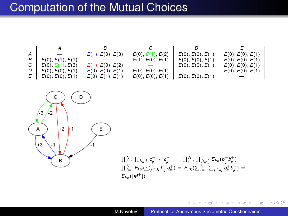#### Computation of the Mutual Choices

|                  | E(1), E(0), E(3) | E(0), E(1), E(2) | E(0), E(0), E(1) | E(0), E(0), E(1) |
|------------------|------------------|------------------|------------------|------------------|
| E(0), E(1), E(1) |                  | E(1), E(0), E(1) | E(0), E(0), E(1) | E(0), E(0), E(1) |
| E(0), E(1), E(3) | E(1), E(0), E(2) |                  | E(0), E(0), E(1) | E(0), E(0), E(1) |
| E(0), E(0), E(1) | E(0), E(0), E(1) | E(0), E(0), E(1) |                  | E(0), E(0), E(1) |
| E(0), E(0), E(1) | E(0), E(1), E(1) | E(0), E(0), E(1) | E(0), E(0), E(1) |                  |



$$
\begin{array}{lcl} \Pi'^1_{i=1} \, \Pi_{j \in J_j} \, \mathbf{c}^{+}_{ij} \ * \ \mathbf{c}^{+}_{ji} & = & \Pi'^1_{i=1} \, \Pi_{j \in J_i} \, E_{Pk} (b^{+}_{ij} \, b^{+}_{ji}) \ = \\ \Pi'^1_{i=1} \, E_{Pk} (\sum_{j \in J_i} b^{+}_{ij} b^{+}_{ji}) & = & E_{Pk} (\sum^N_{i=1} \, \sum_{j \in J_i} b^{+}_{ij} b^{+}_{ji}) = \\ \mathbf{E}_{Pk} (|M^{+}|) \end{array}
$$

M.Novotný [Protocol for Anonymous Sociometric Questionnaires](#page-0-0)

4 0 8 4 € 重き 不重き い

÷.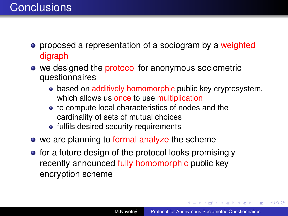- **•** proposed a representation of a sociogram by a weighted digraph
- we designed the protocol for anonymous sociometric questionnaires
	- · based on additively homomorphic public key cryptosystem. which allows us once to use multiplication
	- to compute local characteristics of nodes and the cardinality of sets of mutual choices
	- fulfils desired security requirements
- we are planning to formal analyze the scheme
- **•** for a future design of the protocol looks promisingly recently announced fully homomorphic public key encryption scheme

**≮ロト ⊀ 何 ト ⊀ ヨ ト ⊀ ヨ ト**